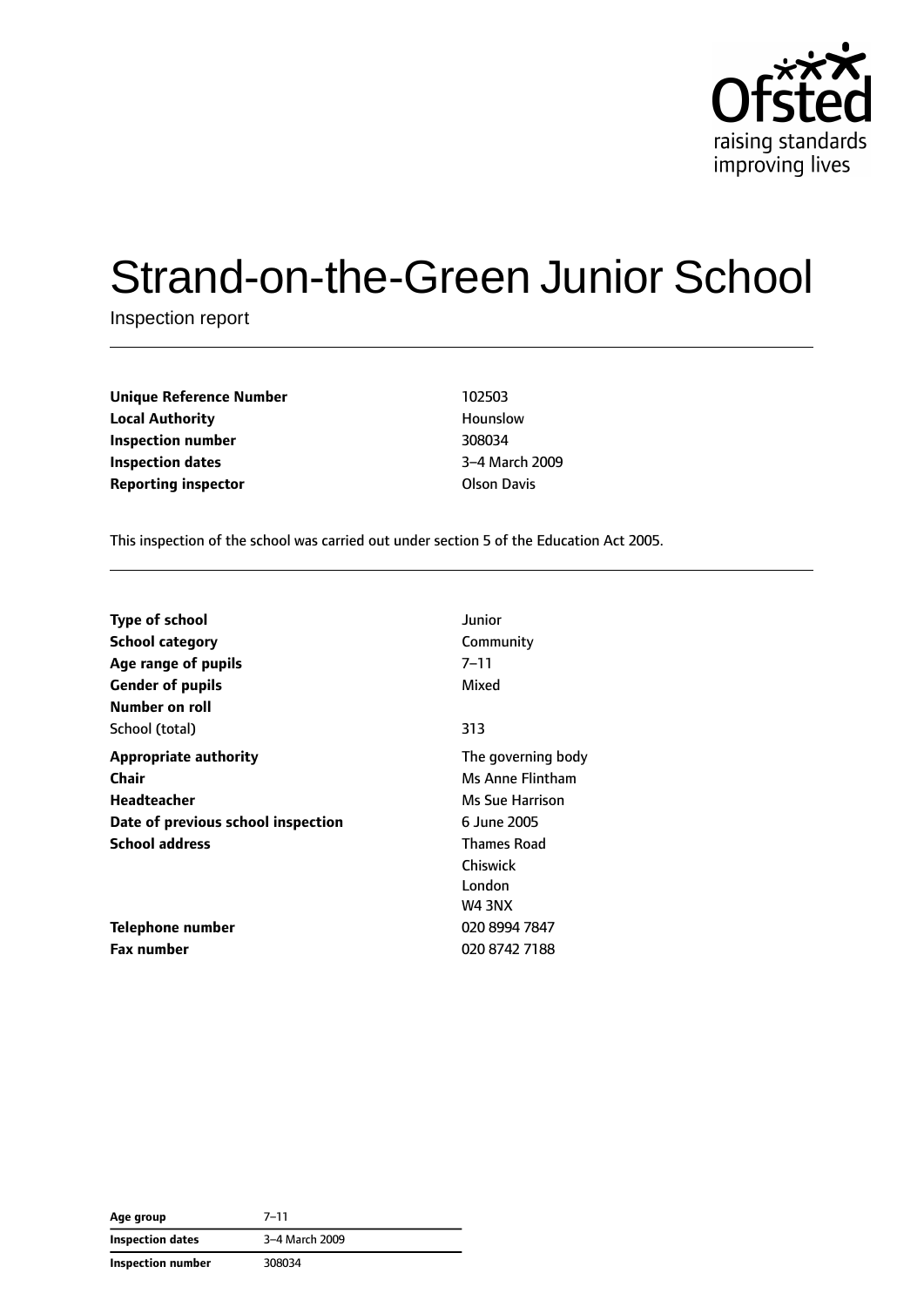

# Strand-on-the-Green Junior School

Inspection report

**Unique Reference Number** 102503 **Local Authority Hounslow Inspection number** 308034 **Inspection dates** 3–4 March 2009 **Reporting inspector COLSON DAVIS AREA** 

This inspection of the school was carried out under section 5 of the Education Act 2005.

| <b>Type of school</b>              | Junior             |
|------------------------------------|--------------------|
| <b>School category</b>             | Community          |
| Age range of pupils                | $7 - 11$           |
| <b>Gender of pupils</b>            | Mixed              |
| Number on roll                     |                    |
| School (total)                     | 313                |
| <b>Appropriate authority</b>       | The governing body |
| Chair                              | Ms Anne Flintham   |
| Headteacher                        | Ms Sue Harrison    |
| Date of previous school inspection | 6 June 2005        |
| <b>School address</b>              | <b>Thames Road</b> |
|                                    | Chiswick           |
|                                    | London             |
|                                    | <b>W4 3NX</b>      |
| Telephone number                   | 020 8994 7847      |
| <b>Fax number</b>                  | 020 8742 7188      |

| Age group               | $7 - 11$       |
|-------------------------|----------------|
| <b>Inspection dates</b> | 3-4 March 2009 |
| Inspection number       | 308034         |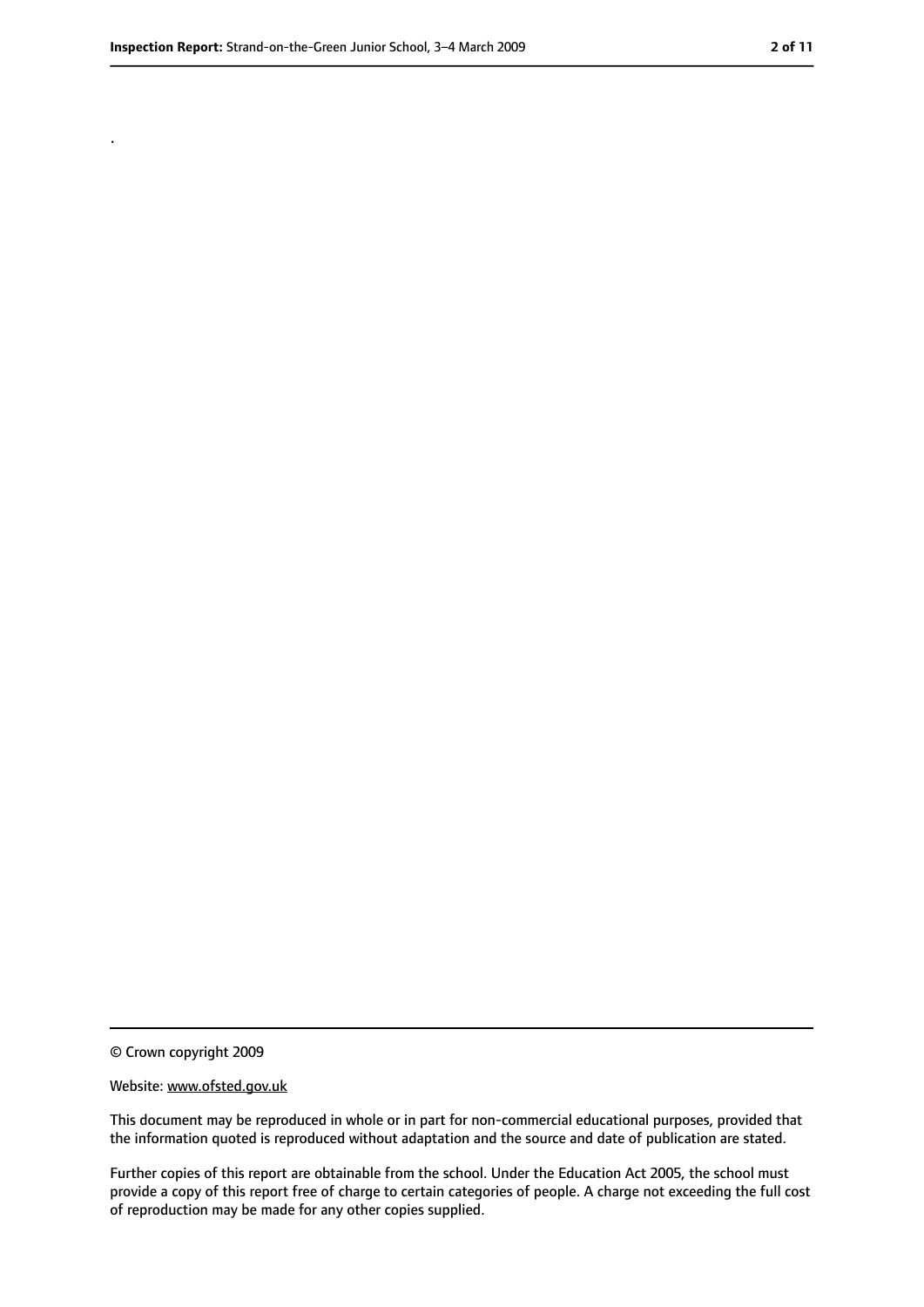.

<sup>©</sup> Crown copyright 2009

Website: www.ofsted.gov.uk

This document may be reproduced in whole or in part for non-commercial educational purposes, provided that the information quoted is reproduced without adaptation and the source and date of publication are stated.

Further copies of this report are obtainable from the school. Under the Education Act 2005, the school must provide a copy of this report free of charge to certain categories of people. A charge not exceeding the full cost of reproduction may be made for any other copies supplied.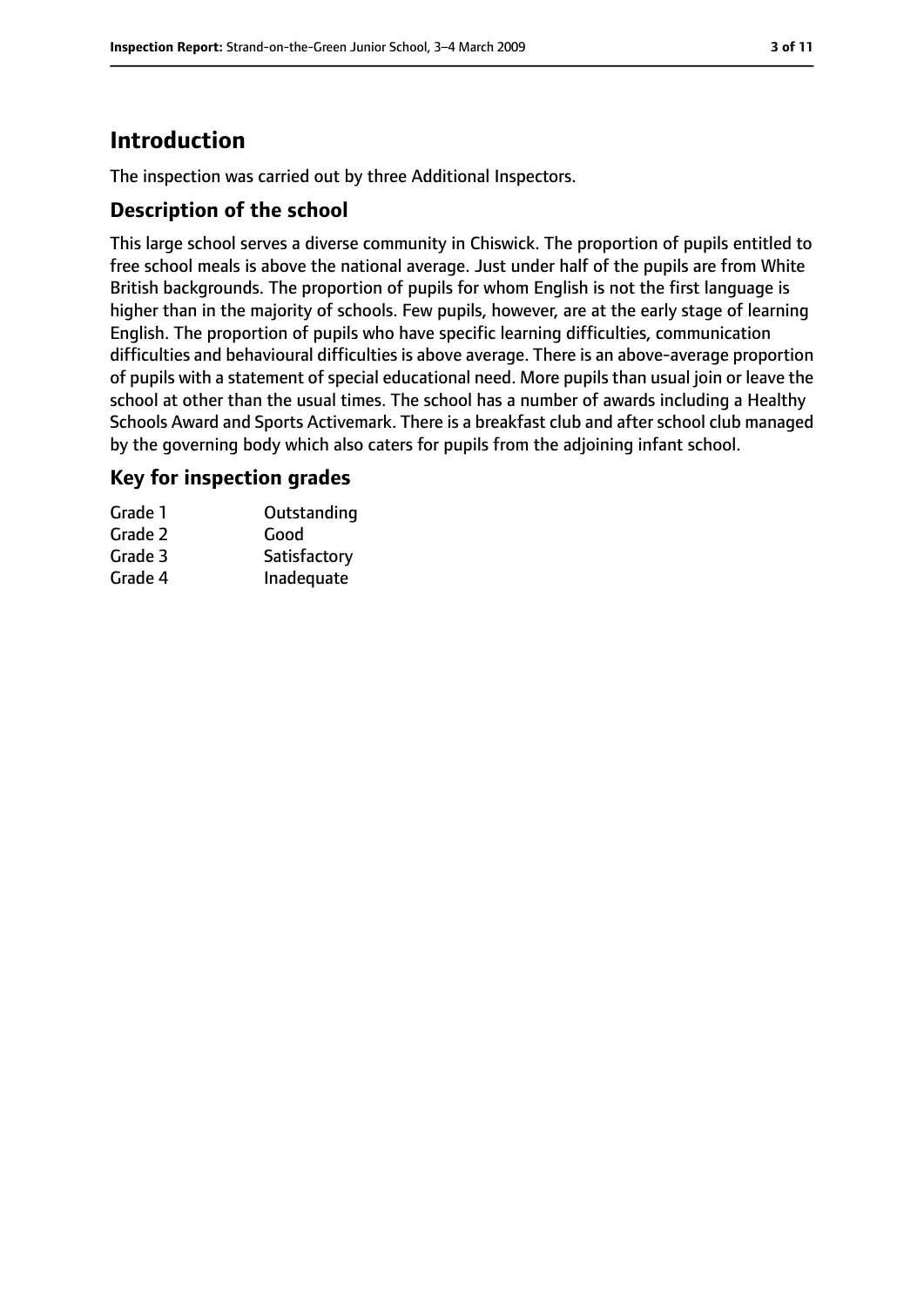# **Introduction**

The inspection was carried out by three Additional Inspectors.

### **Description of the school**

This large school serves a diverse community in Chiswick. The proportion of pupils entitled to free school meals is above the national average. Just under half of the pupils are from White British backgrounds. The proportion of pupils for whom English is not the first language is higher than in the majority of schools. Few pupils, however, are at the early stage of learning English. The proportion of pupils who have specific learning difficulties, communication difficulties and behavioural difficulties is above average. There is an above-average proportion of pupils with a statement of special educational need. More pupils than usual join or leave the school at other than the usual times. The school has a number of awards including a Healthy Schools Award and Sports Activemark. There is a breakfast club and after school club managed by the governing body which also caters for pupils from the adjoining infant school.

### **Key for inspection grades**

| Grade 1 | Outstanding  |
|---------|--------------|
| Grade 2 | Good         |
| Grade 3 | Satisfactory |
| Grade 4 | Inadequate   |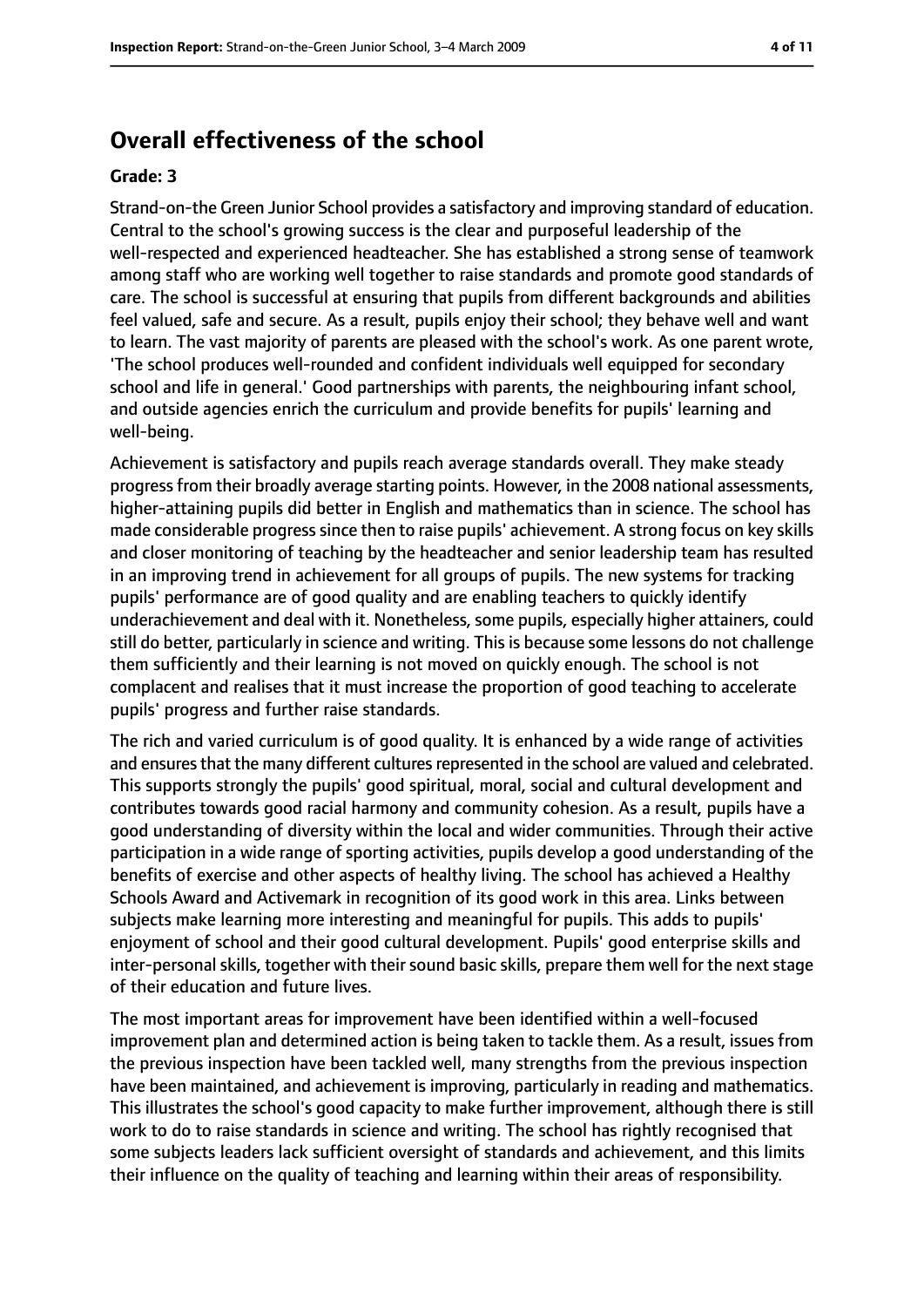# **Overall effectiveness of the school**

#### **Grade: 3**

Strand-on-the Green Junior School provides a satisfactory and improving standard of education. Central to the school's growing success is the clear and purposeful leadership of the well-respected and experienced headteacher. She has established a strong sense of teamwork among staff who are working well together to raise standards and promote good standards of care. The school is successful at ensuring that pupils from different backgrounds and abilities feel valued, safe and secure. As a result, pupils enjoy their school; they behave well and want to learn. The vast majority of parents are pleased with the school's work. As one parent wrote, 'The school produces well-rounded and confident individuals well equipped for secondary school and life in general.' Good partnerships with parents, the neighbouring infant school, and outside agencies enrich the curriculum and provide benefits for pupils' learning and well-being.

Achievement is satisfactory and pupils reach average standards overall. They make steady progress from their broadly average starting points. However, in the 2008 national assessments, higher-attaining pupils did better in English and mathematics than in science. The school has made considerable progress since then to raise pupils' achievement. A strong focus on key skills and closer monitoring of teaching by the headteacher and senior leadership team has resulted in an improving trend in achievement for all groups of pupils. The new systems for tracking pupils' performance are of good quality and are enabling teachers to quickly identify underachievement and deal with it. Nonetheless, some pupils, especially higher attainers, could still do better, particularly in science and writing. This is because some lessons do not challenge them sufficiently and their learning is not moved on quickly enough. The school is not complacent and realises that it must increase the proportion of good teaching to accelerate pupils' progress and further raise standards.

The rich and varied curriculum is of good quality. It is enhanced by a wide range of activities and ensures that the many different cultures represented in the school are valued and celebrated. This supports strongly the pupils' good spiritual, moral, social and cultural development and contributes towards good racial harmony and community cohesion. As a result, pupils have a good understanding of diversity within the local and wider communities. Through their active participation in a wide range of sporting activities, pupils develop a good understanding of the benefits of exercise and other aspects of healthy living. The school has achieved a Healthy Schools Award and Activemark in recognition of its good work in this area. Links between subjects make learning more interesting and meaningful for pupils. This adds to pupils' enjoyment of school and their good cultural development. Pupils' good enterprise skills and inter-personal skills, together with their sound basic skills, prepare them well for the next stage of their education and future lives.

The most important areas for improvement have been identified within a well-focused improvement plan and determined action is being taken to tackle them. As a result, issues from the previous inspection have been tackled well, many strengths from the previous inspection have been maintained, and achievement is improving, particularly in reading and mathematics. This illustrates the school's good capacity to make further improvement, although there is still work to do to raise standards in science and writing. The school has rightly recognised that some subjects leaders lack sufficient oversight of standards and achievement, and this limits their influence on the quality of teaching and learning within their areas of responsibility.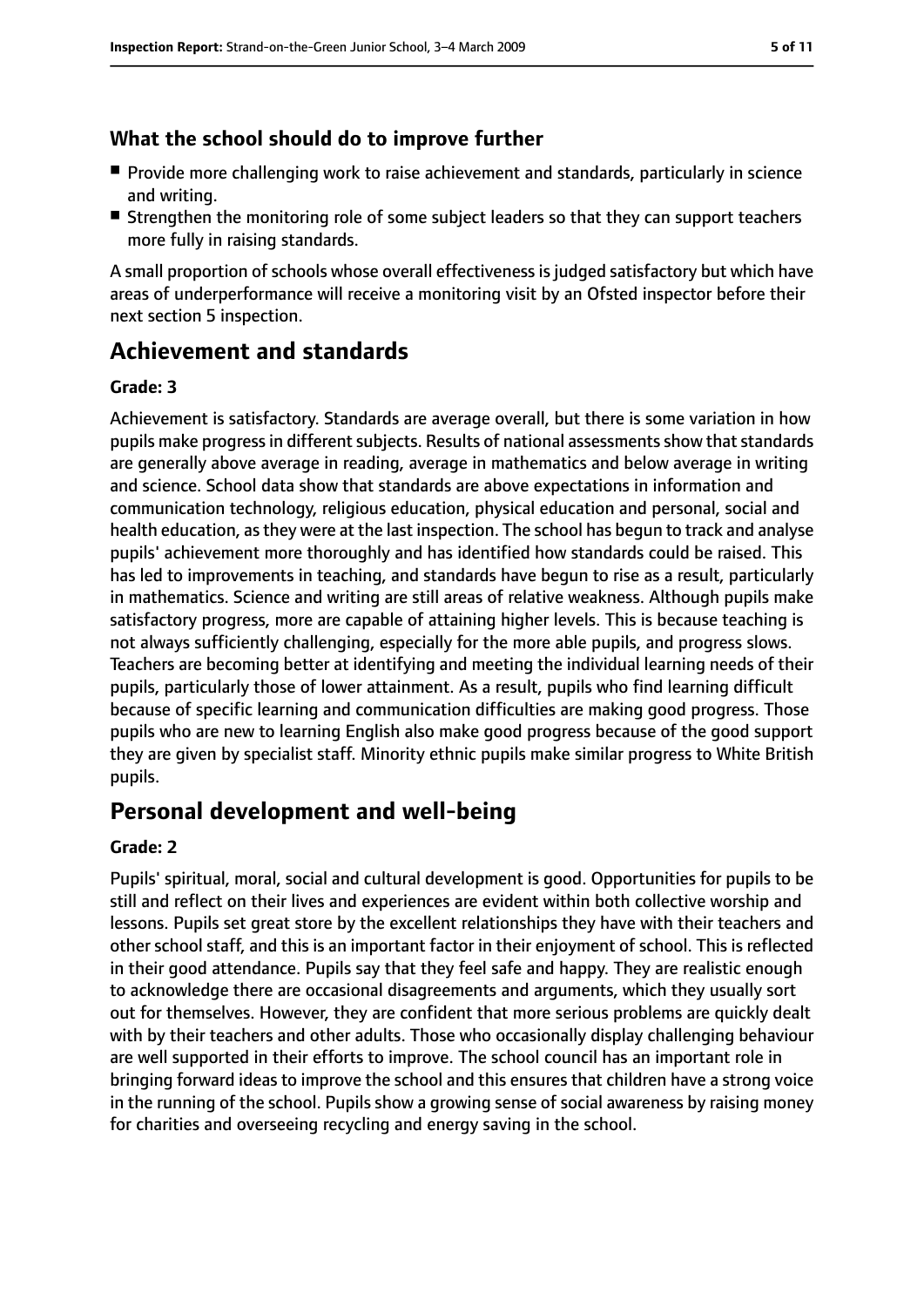## **What the school should do to improve further**

- Provide more challenging work to raise achievement and standards, particularly in science and writing.
- Strengthen the monitoring role of some subject leaders so that they can support teachers more fully in raising standards.

A small proportion of schools whose overall effectiveness is judged satisfactory but which have areas of underperformance will receive a monitoring visit by an Ofsted inspector before their next section 5 inspection.

# **Achievement and standards**

### **Grade: 3**

Achievement is satisfactory. Standards are average overall, but there is some variation in how pupils make progress in different subjects. Results of national assessments show that standards are generally above average in reading, average in mathematics and below average in writing and science. School data show that standards are above expectations in information and communication technology, religious education, physical education and personal, social and health education, asthey were at the last inspection. The school has begun to track and analyse pupils' achievement more thoroughly and has identified how standards could be raised. This has led to improvements in teaching, and standards have begun to rise as a result, particularly in mathematics. Science and writing are still areas of relative weakness. Although pupils make satisfactory progress, more are capable of attaining higher levels. This is because teaching is not always sufficiently challenging, especially for the more able pupils, and progress slows. Teachers are becoming better at identifying and meeting the individual learning needs of their pupils, particularly those of lower attainment. As a result, pupils who find learning difficult because of specific learning and communication difficulties are making good progress. Those pupils who are new to learning English also make good progress because of the good support they are given by specialist staff. Minority ethnic pupils make similar progress to White British pupils.

# **Personal development and well-being**

### **Grade: 2**

Pupils' spiritual, moral, social and cultural development is good. Opportunities for pupils to be still and reflect on their lives and experiences are evident within both collective worship and lessons. Pupils set great store by the excellent relationships they have with their teachers and other school staff, and this is an important factor in their enjoyment of school. This is reflected in their good attendance. Pupils say that they feel safe and happy. They are realistic enough to acknowledge there are occasional disagreements and arguments, which they usually sort out for themselves. However, they are confident that more serious problems are quickly dealt with by their teachers and other adults. Those who occasionally display challenging behaviour are well supported in their efforts to improve. The school council has an important role in bringing forward ideas to improve the school and this ensures that children have a strong voice in the running of the school. Pupils show a growing sense of social awareness by raising money for charities and overseeing recycling and energy saving in the school.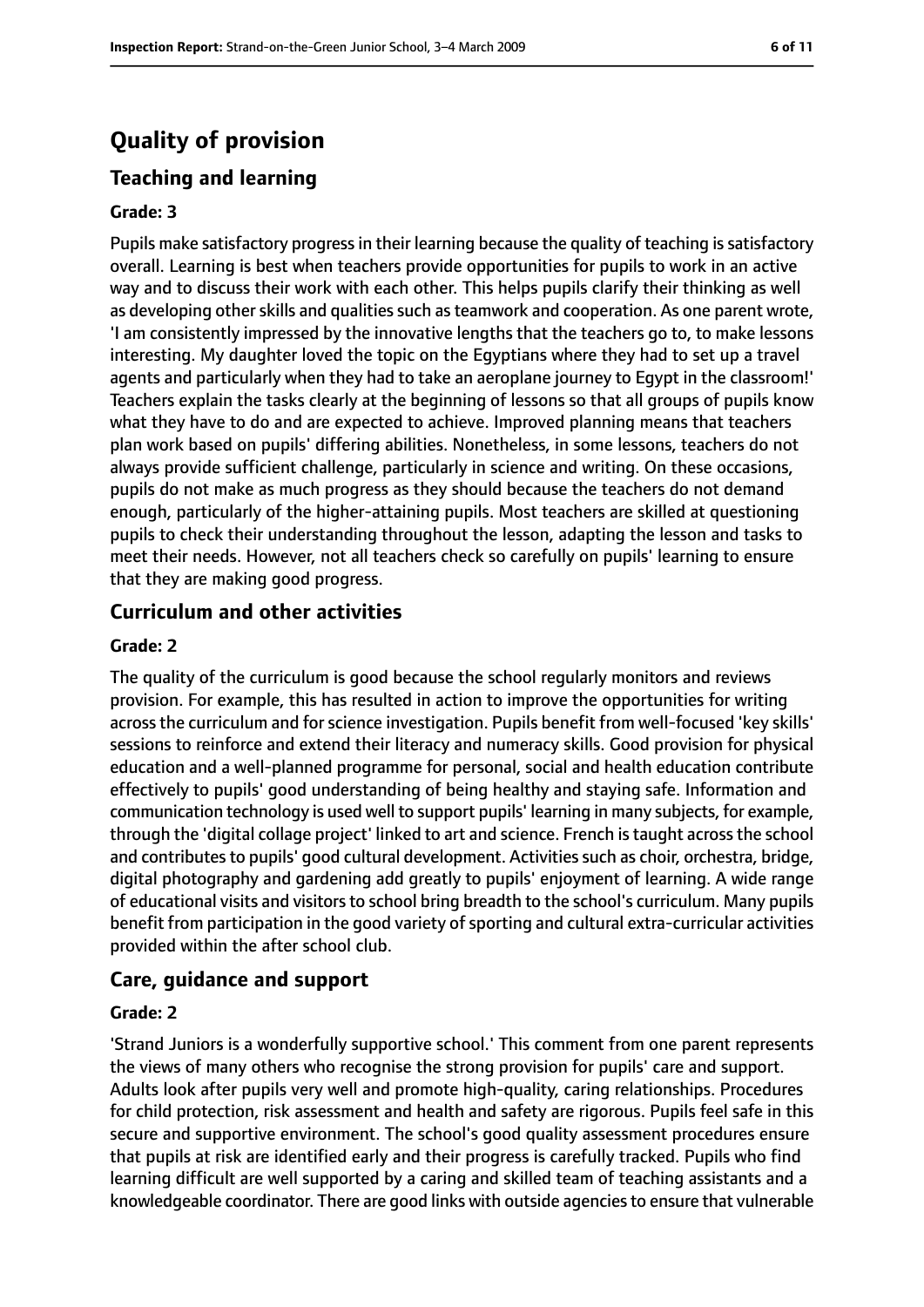# **Quality of provision**

### **Teaching and learning**

#### **Grade: 3**

Pupils make satisfactory progress in their learning because the quality of teaching is satisfactory overall. Learning is best when teachers provide opportunities for pupils to work in an active way and to discuss their work with each other. This helps pupils clarify their thinking as well as developing other skills and qualities such as teamwork and cooperation. As one parent wrote, 'I am consistently impressed by the innovative lengths that the teachers go to, to make lessons interesting. My daughter loved the topic on the Egyptians where they had to set up a travel agents and particularly when they had to take an aeroplane journey to Egypt in the classroom!' Teachers explain the tasks clearly at the beginning of lessons so that all groups of pupils know what they have to do and are expected to achieve. Improved planning means that teachers plan work based on pupils' differing abilities. Nonetheless, in some lessons, teachers do not always provide sufficient challenge, particularly in science and writing. On these occasions, pupils do not make as much progress as they should because the teachers do not demand enough, particularly of the higher-attaining pupils. Most teachers are skilled at questioning pupils to check their understanding throughout the lesson, adapting the lesson and tasks to meet their needs. However, not all teachers check so carefully on pupils' learning to ensure that they are making good progress.

#### **Curriculum and other activities**

#### **Grade: 2**

The quality of the curriculum is good because the school regularly monitors and reviews provision. For example, this has resulted in action to improve the opportunities for writing across the curriculum and for science investigation. Pupils benefit from well-focused 'key skills' sessions to reinforce and extend their literacy and numeracy skills. Good provision for physical education and a well-planned programme for personal, social and health education contribute effectively to pupils' good understanding of being healthy and staying safe. Information and communication technology is used well to support pupils' learning in many subjects, for example, through the 'digital collage project' linked to art and science. French istaught acrossthe school and contributes to pupils' good cultural development. Activities such as choir, orchestra, bridge, digital photography and gardening add greatly to pupils' enjoyment of learning. A wide range of educational visits and visitors to school bring breadth to the school's curriculum. Many pupils benefit from participation in the good variety of sporting and cultural extra-curricular activities provided within the after school club.

#### **Care, guidance and support**

#### **Grade: 2**

'Strand Juniors is a wonderfully supportive school.' This comment from one parent represents the views of many others who recognise the strong provision for pupils' care and support. Adults look after pupils very well and promote high-quality, caring relationships. Procedures for child protection, risk assessment and health and safety are rigorous. Pupils feel safe in this secure and supportive environment. The school's good quality assessment procedures ensure that pupils at risk are identified early and their progress is carefully tracked. Pupils who find learning difficult are well supported by a caring and skilled team of teaching assistants and a knowledgeable coordinator. There are good links with outside agencies to ensure that vulnerable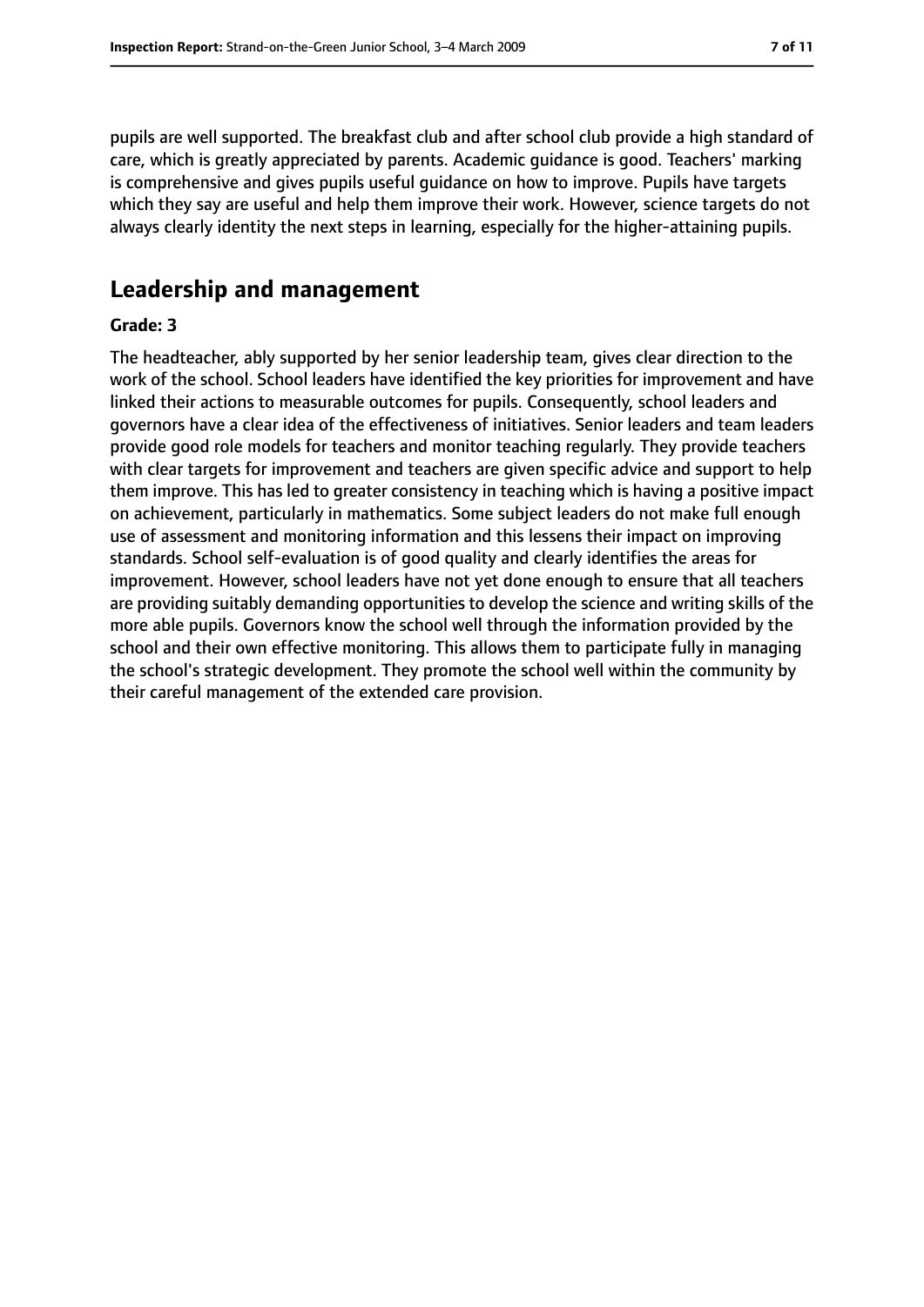pupils are well supported. The breakfast club and after school club provide a high standard of care, which is greatly appreciated by parents. Academic guidance is good. Teachers' marking is comprehensive and gives pupils useful guidance on how to improve. Pupils have targets which they say are useful and help them improve their work. However, science targets do not always clearly identity the next steps in learning, especially for the higher-attaining pupils.

# **Leadership and management**

#### **Grade: 3**

The headteacher, ably supported by her senior leadership team, gives clear direction to the work of the school. School leaders have identified the key priorities for improvement and have linked their actions to measurable outcomes for pupils. Consequently, school leaders and governors have a clear idea of the effectiveness of initiatives. Senior leaders and team leaders provide good role models for teachers and monitor teaching regularly. They provide teachers with clear targets for improvement and teachers are given specific advice and support to help them improve. This has led to greater consistency in teaching which is having a positive impact on achievement, particularly in mathematics. Some subject leaders do not make full enough use of assessment and monitoring information and this lessens their impact on improving standards. School self-evaluation is of good quality and clearly identifies the areas for improvement. However, school leaders have not yet done enough to ensure that all teachers are providing suitably demanding opportunities to develop the science and writing skills of the more able pupils. Governors know the school well through the information provided by the school and their own effective monitoring. This allows them to participate fully in managing the school's strategic development. They promote the school well within the community by their careful management of the extended care provision.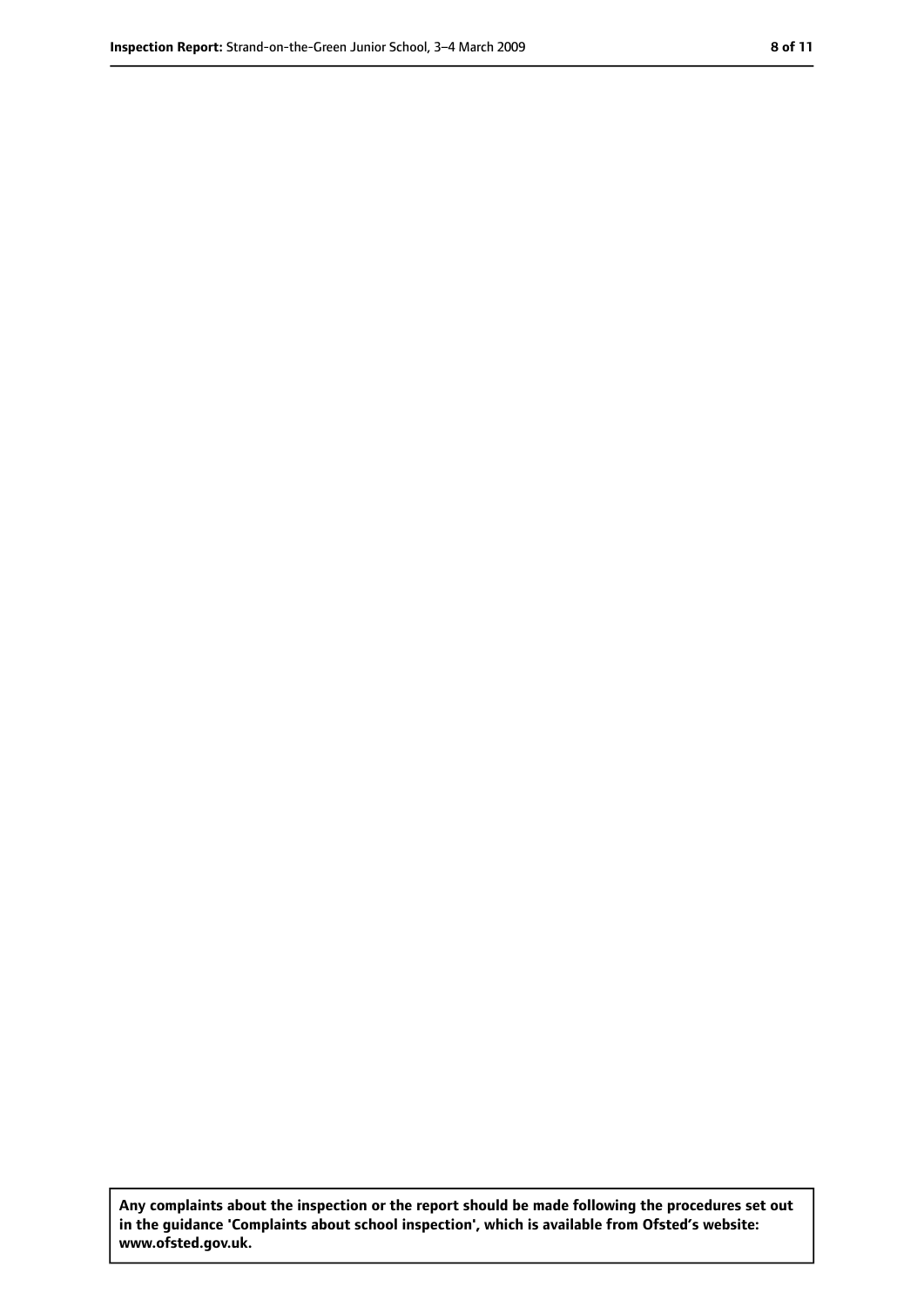**Any complaints about the inspection or the report should be made following the procedures set out in the guidance 'Complaints about school inspection', which is available from Ofsted's website: www.ofsted.gov.uk.**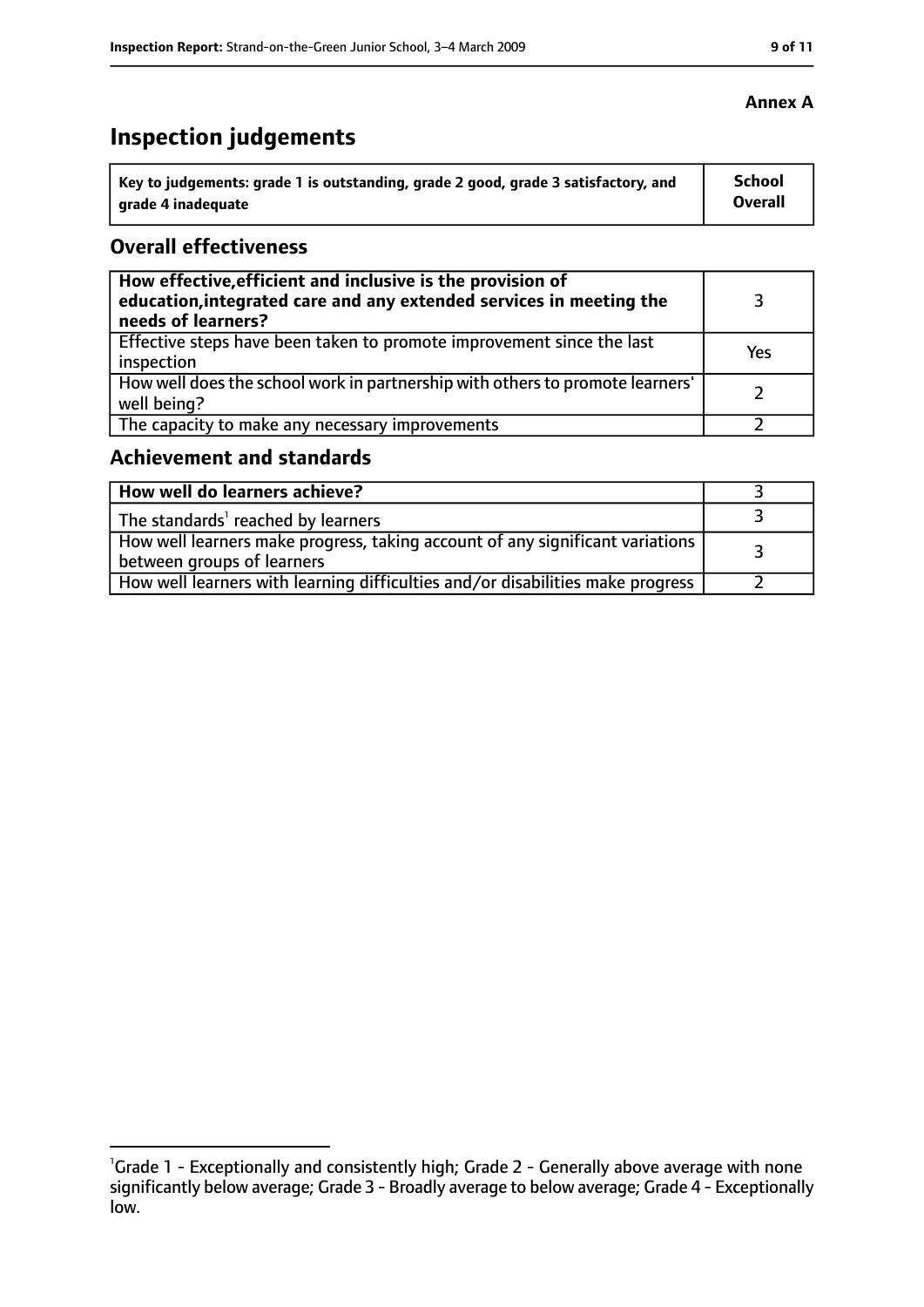# **Inspection judgements**

| Key to judgements: grade 1 is outstanding, grade 2 good, grade 3 satisfactory, and | School  |
|------------------------------------------------------------------------------------|---------|
| arade 4 inadequate                                                                 | Overall |

### **Overall effectiveness**

| How effective, efficient and inclusive is the provision of<br>education, integrated care and any extended services in meeting the<br>needs of learners? |     |
|---------------------------------------------------------------------------------------------------------------------------------------------------------|-----|
| Effective steps have been taken to promote improvement since the last<br>inspection                                                                     | Yes |
| How well does the school work in partnership with others to promote learners'<br>well being?                                                            |     |
| The capacity to make any necessary improvements                                                                                                         |     |

# **Achievement and standards**

| How well do learners achieve?                                                                                 |  |
|---------------------------------------------------------------------------------------------------------------|--|
| The standards' reached by learners                                                                            |  |
| How well learners make progress, taking account of any significant variations  <br>between groups of learners |  |
| How well learners with learning difficulties and/or disabilities make progress                                |  |

<sup>&</sup>lt;sup>1</sup>Grade 1 - Exceptionally and consistently high; Grade 2 - Generally above average with none significantly below average; Grade 3 - Broadly average to below average; Grade 4 - Exceptionally low.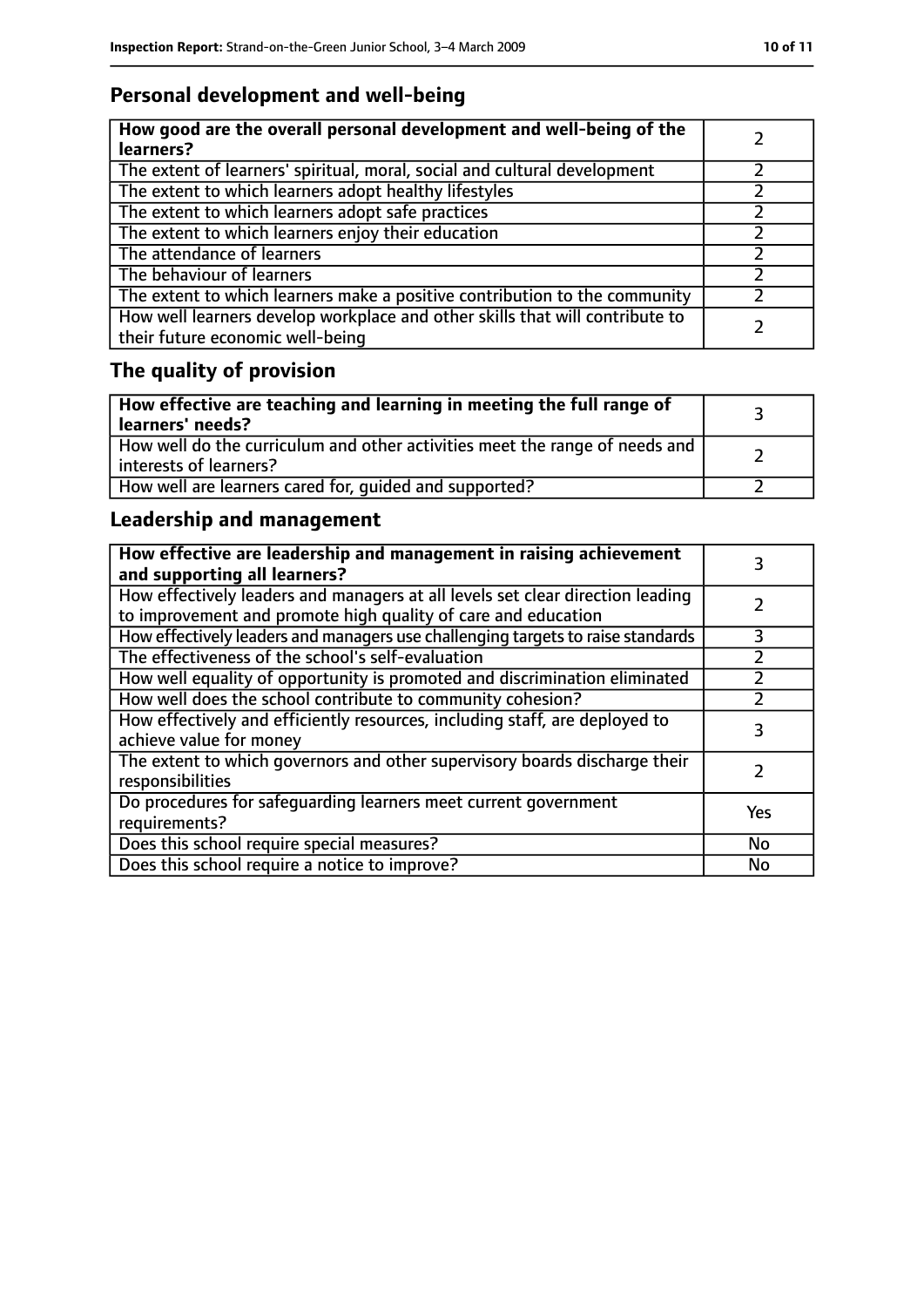# **Personal development and well-being**

| How good are the overall personal development and well-being of the<br>learners?                                 |  |
|------------------------------------------------------------------------------------------------------------------|--|
| The extent of learners' spiritual, moral, social and cultural development                                        |  |
| The extent to which learners adopt healthy lifestyles                                                            |  |
| The extent to which learners adopt safe practices                                                                |  |
| The extent to which learners enjoy their education                                                               |  |
| The attendance of learners                                                                                       |  |
| The behaviour of learners                                                                                        |  |
| The extent to which learners make a positive contribution to the community                                       |  |
| How well learners develop workplace and other skills that will contribute to<br>their future economic well-being |  |

# **The quality of provision**

| How effective are teaching and learning in meeting the full range of<br>learners' needs?              |  |
|-------------------------------------------------------------------------------------------------------|--|
| How well do the curriculum and other activities meet the range of needs and<br>interests of learners? |  |
| How well are learners cared for, quided and supported?                                                |  |

# **Leadership and management**

| How effective are leadership and management in raising achievement<br>and supporting all learners?                                              | 3         |
|-------------------------------------------------------------------------------------------------------------------------------------------------|-----------|
| How effectively leaders and managers at all levels set clear direction leading<br>to improvement and promote high quality of care and education |           |
| How effectively leaders and managers use challenging targets to raise standards                                                                 | 3         |
| The effectiveness of the school's self-evaluation                                                                                               |           |
| How well equality of opportunity is promoted and discrimination eliminated                                                                      |           |
| How well does the school contribute to community cohesion?                                                                                      |           |
| How effectively and efficiently resources, including staff, are deployed to<br>achieve value for money                                          | 3         |
| The extent to which governors and other supervisory boards discharge their<br>responsibilities                                                  |           |
| Do procedures for safequarding learners meet current government<br>requirements?                                                                | Yes       |
| Does this school require special measures?                                                                                                      | <b>No</b> |
| Does this school require a notice to improve?                                                                                                   | No        |